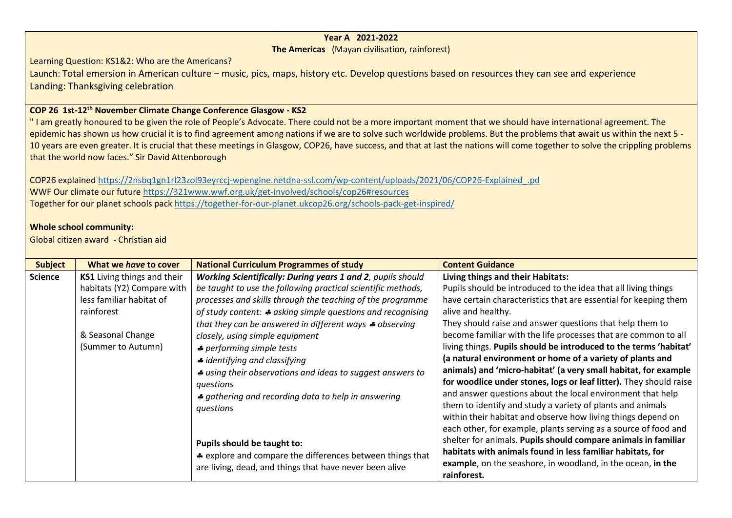## **Year A 2021-2022**

## **The Americas** (Mayan civilisation, rainforest)

Learning Question: KS1&2: Who are the Americans?

Launch: Total emersion in American culture – music, pics, maps, history etc. Develop questions based on resources they can see and experience Landing: Thanksgiving celebration

## **COP 26 1st-12th November Climate Change Conference Glasgow - KS2**

" I am greatly honoured to be given the role of People's Advocate. There could not be a more important moment that we should have international agreement. The epidemic has shown us how crucial it is to find agreement among nations if we are to solve such worldwide problems. But the problems that await us within the next 5 -10 years are even greater. It is crucial that these meetings in Glasgow, COP26, have success, and that at last the nations will come together to solve the crippling problems that the world now faces." Sir David Attenborough

COP26 explaine[d https://2nsbq1gn1rl23zol93eyrccj-wpengine.netdna-ssl.com/wp-content/uploads/2021/06/COP26-Explained\\_.pd](https://2nsbq1gn1rl23zol93eyrccj-wpengine.netdna-ssl.com/wp-content/uploads/2021/06/COP26-Explained_.pd) WWF Our climate our futur[e https://321www.wwf.org.uk/get-involved/schools/cop26#resources](https://321www.wwf.org.uk/get-involved/schools/cop26#resources) Together for our planet schools pac[k https://together-for-our-planet.ukcop26.org/schools-pack-get-inspired/](https://together-for-our-planet.ukcop26.org/schools-pack-get-inspired/)

## **Whole school community:**

Global citizen award - Christian aid

| <b>Subject</b> | What we have to cover              | <b>National Curriculum Programmes of study</b>                        | <b>Content Guidance</b>                                            |
|----------------|------------------------------------|-----------------------------------------------------------------------|--------------------------------------------------------------------|
| <b>Science</b> | <b>KS1</b> Living things and their | <b>Working Scientifically: During years 1 and 2</b> , pupils should   | Living things and their Habitats:                                  |
|                | habitats (Y2) Compare with         | be taught to use the following practical scientific methods,          | Pupils should be introduced to the idea that all living things     |
|                | less familiar habitat of           | processes and skills through the teaching of the programme            | have certain characteristics that are essential for keeping them   |
|                | rainforest                         | of study content: $\clubsuit$ asking simple questions and recognising | alive and healthy.                                                 |
|                |                                    | that they can be answered in different ways $\clubsuit$ observing     | They should raise and answer questions that help them to           |
|                | & Seasonal Change                  | closely, using simple equipment                                       | become familiar with the life processes that are common to all     |
|                | (Summer to Autumn)                 | <i>♣</i> performing simple tests                                      | living things. Pupils should be introduced to the terms 'habitat'  |
|                |                                    | $\clubsuit$ identifying and classifying                               | (a natural environment or home of a variety of plants and          |
|                |                                    | ♣ using their observations and ideas to suggest answers to            | animals) and 'micro-habitat' (a very small habitat, for example    |
|                |                                    | questions                                                             | for woodlice under stones, logs or leaf litter). They should raise |
|                |                                    | ♣ gathering and recording data to help in answering                   | and answer questions about the local environment that help         |
|                |                                    | questions                                                             | them to identify and study a variety of plants and animals         |
|                |                                    |                                                                       | within their habitat and observe how living things depend on       |
|                |                                    |                                                                       | each other, for example, plants serving as a source of food and    |
|                |                                    | Pupils should be taught to:                                           | shelter for animals. Pupils should compare animals in familiar     |
|                |                                    | * explore and compare the differences between things that             | habitats with animals found in less familiar habitats, for         |
|                |                                    | are living, dead, and things that have never been alive               | example, on the seashore, in woodland, in the ocean, in the        |
|                |                                    |                                                                       | rainforest.                                                        |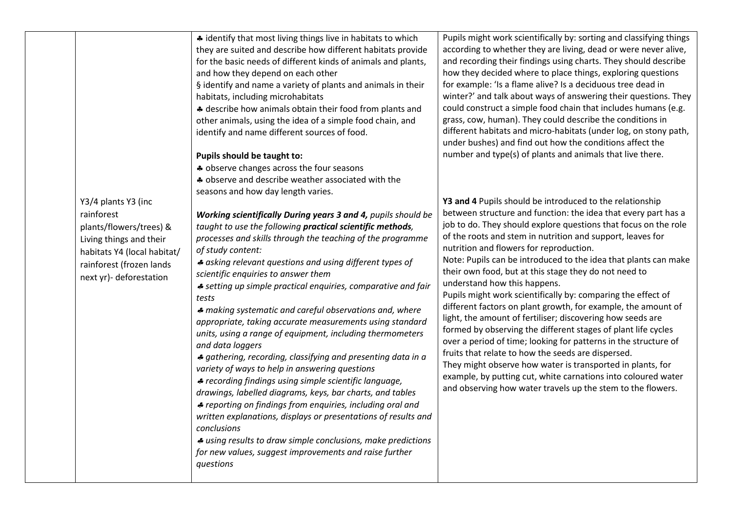| Y3/4 plants Y3 (inc<br>rainforest<br>plants/flowers/trees) &<br>Living things and their<br>habitats Y4 (local habitat/<br>rainforest (frozen lands<br>next yr)- deforestation | # identify that most living things live in habitats to which<br>they are suited and describe how different habitats provide<br>for the basic needs of different kinds of animals and plants,<br>and how they depend on each other<br>§ identify and name a variety of plants and animals in their<br>habitats, including microhabitats<br>* describe how animals obtain their food from plants and<br>other animals, using the idea of a simple food chain, and<br>identify and name different sources of food.<br>Pupils should be taught to:<br>* observe changes across the four seasons<br>* observe and describe weather associated with the<br>seasons and how day length varies.<br>Working scientifically During years 3 and 4, pupils should be<br>taught to use the following practical scientific methods,<br>processes and skills through the teaching of the programme<br>of study content:<br>* asking relevant questions and using different types of<br>scientific enquiries to answer them<br>* setting up simple practical enquiries, comparative and fair<br>tests<br>* making systematic and careful observations and, where<br>appropriate, taking accurate measurements using standard<br>units, using a range of equipment, including thermometers<br>and data loggers<br>* gathering, recording, classifying and presenting data in a<br>variety of ways to help in answering questions<br># recording findings using simple scientific language,<br>drawings, labelled diagrams, keys, bar charts, and tables<br>♣ reporting on findings from enquiries, including oral and<br>written explanations, displays or presentations of results and<br>conclusions<br>↓ using results to draw simple conclusions, make predictions<br>for new values, suggest improvements and raise further<br>questions | Pupils might work scientifically by: sorting and classifying things<br>according to whether they are living, dead or were never alive,<br>and recording their findings using charts. They should describe<br>how they decided where to place things, exploring questions<br>for example: 'Is a flame alive? Is a deciduous tree dead in<br>winter?' and talk about ways of answering their questions. They<br>could construct a simple food chain that includes humans (e.g.<br>grass, cow, human). They could describe the conditions in<br>different habitats and micro-habitats (under log, on stony path,<br>under bushes) and find out how the conditions affect the<br>number and type(s) of plants and animals that live there.<br>Y3 and 4 Pupils should be introduced to the relationship<br>between structure and function: the idea that every part has a<br>job to do. They should explore questions that focus on the role<br>of the roots and stem in nutrition and support, leaves for<br>nutrition and flowers for reproduction.<br>Note: Pupils can be introduced to the idea that plants can make<br>their own food, but at this stage they do not need to<br>understand how this happens.<br>Pupils might work scientifically by: comparing the effect of<br>different factors on plant growth, for example, the amount of<br>light, the amount of fertiliser; discovering how seeds are<br>formed by observing the different stages of plant life cycles<br>over a period of time; looking for patterns in the structure of<br>fruits that relate to how the seeds are dispersed.<br>They might observe how water is transported in plants, for<br>example, by putting cut, white carnations into coloured water<br>and observing how water travels up the stem to the flowers. |
|-------------------------------------------------------------------------------------------------------------------------------------------------------------------------------|------------------------------------------------------------------------------------------------------------------------------------------------------------------------------------------------------------------------------------------------------------------------------------------------------------------------------------------------------------------------------------------------------------------------------------------------------------------------------------------------------------------------------------------------------------------------------------------------------------------------------------------------------------------------------------------------------------------------------------------------------------------------------------------------------------------------------------------------------------------------------------------------------------------------------------------------------------------------------------------------------------------------------------------------------------------------------------------------------------------------------------------------------------------------------------------------------------------------------------------------------------------------------------------------------------------------------------------------------------------------------------------------------------------------------------------------------------------------------------------------------------------------------------------------------------------------------------------------------------------------------------------------------------------------------------------------------------------------------------------------------------------------------------------------------------------------------|-----------------------------------------------------------------------------------------------------------------------------------------------------------------------------------------------------------------------------------------------------------------------------------------------------------------------------------------------------------------------------------------------------------------------------------------------------------------------------------------------------------------------------------------------------------------------------------------------------------------------------------------------------------------------------------------------------------------------------------------------------------------------------------------------------------------------------------------------------------------------------------------------------------------------------------------------------------------------------------------------------------------------------------------------------------------------------------------------------------------------------------------------------------------------------------------------------------------------------------------------------------------------------------------------------------------------------------------------------------------------------------------------------------------------------------------------------------------------------------------------------------------------------------------------------------------------------------------------------------------------------------------------------------------------------------------------------------------------------------------------------------------------------------------------------|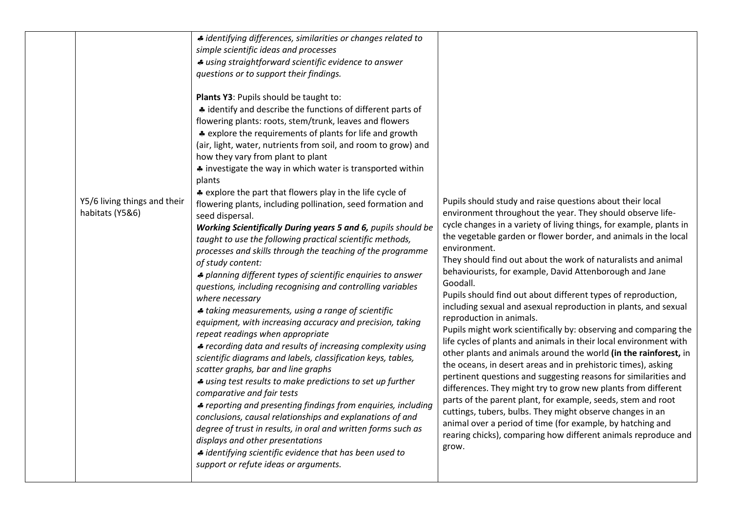|  | Y5/6 living things and their<br>habitats (Y5&6) | # identifying differences, similarities or changes related to<br>simple scientific ideas and processes<br># using straightforward scientific evidence to answer<br>questions or to support their findings.<br>Plants Y3: Pupils should be taught to:<br>* identify and describe the functions of different parts of<br>flowering plants: roots, stem/trunk, leaves and flowers<br>* explore the requirements of plants for life and growth<br>(air, light, water, nutrients from soil, and room to grow) and<br>how they vary from plant to plant<br># investigate the way in which water is transported within<br>plants<br>* explore the part that flowers play in the life cycle of<br>flowering plants, including pollination, seed formation and<br>seed dispersal.<br>Working Scientifically During years 5 and 6, pupils should be<br>taught to use the following practical scientific methods,<br>processes and skills through the teaching of the programme<br>of study content:<br>* planning different types of scientific enquiries to answer<br>questions, including recognising and controlling variables<br>where necessary<br>♣ taking measurements, using a range of scientific<br>equipment, with increasing accuracy and precision, taking<br>repeat readings when appropriate<br>♣ recording data and results of increasing complexity using<br>scientific diagrams and labels, classification keys, tables,<br>scatter graphs, bar and line graphs<br># using test results to make predictions to set up further<br>comparative and fair tests<br>♣ reporting and presenting findings from enquiries, including<br>conclusions, causal relationships and explanations of and<br>degree of trust in results, in oral and written forms such as<br>displays and other presentations<br># identifying scientific evidence that has been used to<br>support or refute ideas or arguments. | Pupils should study and raise questions about their local<br>environment throughout the year. They should observe life-<br>cycle changes in a variety of living things, for example, plants in<br>the vegetable garden or flower border, and animals in the local<br>environment.<br>They should find out about the work of naturalists and animal<br>behaviourists, for example, David Attenborough and Jane<br>Goodall.<br>Pupils should find out about different types of reproduction,<br>including sexual and asexual reproduction in plants, and sexual<br>reproduction in animals.<br>Pupils might work scientifically by: observing and comparing the<br>life cycles of plants and animals in their local environment with<br>other plants and animals around the world (in the rainforest, in<br>the oceans, in desert areas and in prehistoric times), asking<br>pertinent questions and suggesting reasons for similarities and<br>differences. They might try to grow new plants from different<br>parts of the parent plant, for example, seeds, stem and root<br>cuttings, tubers, bulbs. They might observe changes in an<br>animal over a period of time (for example, by hatching and<br>rearing chicks), comparing how different animals reproduce and<br>grow. |
|--|-------------------------------------------------|------------------------------------------------------------------------------------------------------------------------------------------------------------------------------------------------------------------------------------------------------------------------------------------------------------------------------------------------------------------------------------------------------------------------------------------------------------------------------------------------------------------------------------------------------------------------------------------------------------------------------------------------------------------------------------------------------------------------------------------------------------------------------------------------------------------------------------------------------------------------------------------------------------------------------------------------------------------------------------------------------------------------------------------------------------------------------------------------------------------------------------------------------------------------------------------------------------------------------------------------------------------------------------------------------------------------------------------------------------------------------------------------------------------------------------------------------------------------------------------------------------------------------------------------------------------------------------------------------------------------------------------------------------------------------------------------------------------------------------------------------------------------------------------------------------------------------------------------------------------------------------------------------------|-----------------------------------------------------------------------------------------------------------------------------------------------------------------------------------------------------------------------------------------------------------------------------------------------------------------------------------------------------------------------------------------------------------------------------------------------------------------------------------------------------------------------------------------------------------------------------------------------------------------------------------------------------------------------------------------------------------------------------------------------------------------------------------------------------------------------------------------------------------------------------------------------------------------------------------------------------------------------------------------------------------------------------------------------------------------------------------------------------------------------------------------------------------------------------------------------------------------------------------------------------------------------------------|
|--|-------------------------------------------------|------------------------------------------------------------------------------------------------------------------------------------------------------------------------------------------------------------------------------------------------------------------------------------------------------------------------------------------------------------------------------------------------------------------------------------------------------------------------------------------------------------------------------------------------------------------------------------------------------------------------------------------------------------------------------------------------------------------------------------------------------------------------------------------------------------------------------------------------------------------------------------------------------------------------------------------------------------------------------------------------------------------------------------------------------------------------------------------------------------------------------------------------------------------------------------------------------------------------------------------------------------------------------------------------------------------------------------------------------------------------------------------------------------------------------------------------------------------------------------------------------------------------------------------------------------------------------------------------------------------------------------------------------------------------------------------------------------------------------------------------------------------------------------------------------------------------------------------------------------------------------------------------------------|-----------------------------------------------------------------------------------------------------------------------------------------------------------------------------------------------------------------------------------------------------------------------------------------------------------------------------------------------------------------------------------------------------------------------------------------------------------------------------------------------------------------------------------------------------------------------------------------------------------------------------------------------------------------------------------------------------------------------------------------------------------------------------------------------------------------------------------------------------------------------------------------------------------------------------------------------------------------------------------------------------------------------------------------------------------------------------------------------------------------------------------------------------------------------------------------------------------------------------------------------------------------------------------|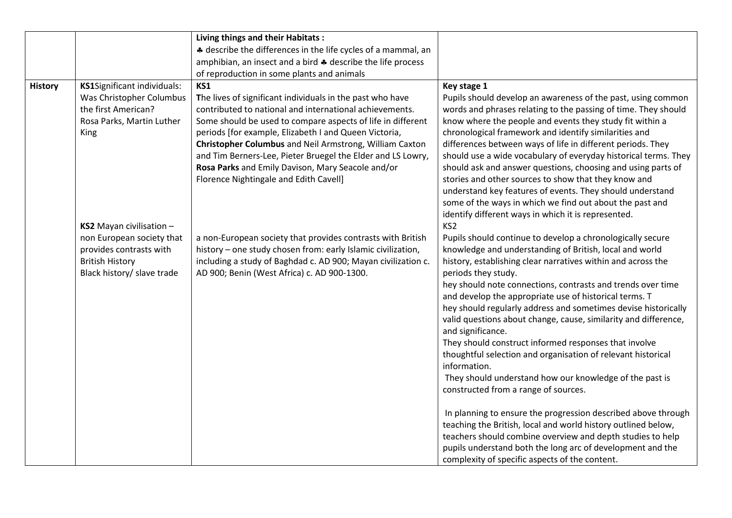|                |                                                                                                                  | Living things and their Habitats:                                                                                                                                                                                                                                                                                                                                                                                                                                     |                                                                                                                                                                                                                                                                                                                                                                                                                                                                                                                                                                                                                                                                                                                                                                                                                                                                                                                                                                                                                                                             |
|----------------|------------------------------------------------------------------------------------------------------------------|-----------------------------------------------------------------------------------------------------------------------------------------------------------------------------------------------------------------------------------------------------------------------------------------------------------------------------------------------------------------------------------------------------------------------------------------------------------------------|-------------------------------------------------------------------------------------------------------------------------------------------------------------------------------------------------------------------------------------------------------------------------------------------------------------------------------------------------------------------------------------------------------------------------------------------------------------------------------------------------------------------------------------------------------------------------------------------------------------------------------------------------------------------------------------------------------------------------------------------------------------------------------------------------------------------------------------------------------------------------------------------------------------------------------------------------------------------------------------------------------------------------------------------------------------|
|                |                                                                                                                  | * describe the differences in the life cycles of a mammal, an                                                                                                                                                                                                                                                                                                                                                                                                         |                                                                                                                                                                                                                                                                                                                                                                                                                                                                                                                                                                                                                                                                                                                                                                                                                                                                                                                                                                                                                                                             |
|                |                                                                                                                  | amphibian, an insect and a bird $\clubsuit$ describe the life process                                                                                                                                                                                                                                                                                                                                                                                                 |                                                                                                                                                                                                                                                                                                                                                                                                                                                                                                                                                                                                                                                                                                                                                                                                                                                                                                                                                                                                                                                             |
|                |                                                                                                                  | of reproduction in some plants and animals                                                                                                                                                                                                                                                                                                                                                                                                                            |                                                                                                                                                                                                                                                                                                                                                                                                                                                                                                                                                                                                                                                                                                                                                                                                                                                                                                                                                                                                                                                             |
| <b>History</b> | KS1Significant individuals:                                                                                      | KS1                                                                                                                                                                                                                                                                                                                                                                                                                                                                   | Key stage 1                                                                                                                                                                                                                                                                                                                                                                                                                                                                                                                                                                                                                                                                                                                                                                                                                                                                                                                                                                                                                                                 |
|                | Was Christopher Columbus<br>the first American?<br>Rosa Parks, Martin Luther<br>King<br>KS2 Mayan civilisation - | The lives of significant individuals in the past who have<br>contributed to national and international achievements.<br>Some should be used to compare aspects of life in different<br>periods [for example, Elizabeth I and Queen Victoria,<br>Christopher Columbus and Neil Armstrong, William Caxton<br>and Tim Berners-Lee, Pieter Bruegel the Elder and LS Lowry,<br>Rosa Parks and Emily Davison, Mary Seacole and/or<br>Florence Nightingale and Edith Cavell] | Pupils should develop an awareness of the past, using common<br>words and phrases relating to the passing of time. They should<br>know where the people and events they study fit within a<br>chronological framework and identify similarities and<br>differences between ways of life in different periods. They<br>should use a wide vocabulary of everyday historical terms. They<br>should ask and answer questions, choosing and using parts of<br>stories and other sources to show that they know and<br>understand key features of events. They should understand<br>some of the ways in which we find out about the past and<br>identify different ways in which it is represented.<br>KS <sub>2</sub>                                                                                                                                                                                                                                                                                                                                            |
|                | non European society that<br>provides contrasts with<br><b>British History</b><br>Black history/ slave trade     | a non-European society that provides contrasts with British<br>history - one study chosen from: early Islamic civilization,<br>including a study of Baghdad c. AD 900; Mayan civilization c.<br>AD 900; Benin (West Africa) c. AD 900-1300.                                                                                                                                                                                                                           | Pupils should continue to develop a chronologically secure<br>knowledge and understanding of British, local and world<br>history, establishing clear narratives within and across the<br>periods they study.<br>hey should note connections, contrasts and trends over time<br>and develop the appropriate use of historical terms. T<br>hey should regularly address and sometimes devise historically<br>valid questions about change, cause, similarity and difference,<br>and significance.<br>They should construct informed responses that involve<br>thoughtful selection and organisation of relevant historical<br>information.<br>They should understand how our knowledge of the past is<br>constructed from a range of sources.<br>In planning to ensure the progression described above through<br>teaching the British, local and world history outlined below,<br>teachers should combine overview and depth studies to help<br>pupils understand both the long arc of development and the<br>complexity of specific aspects of the content. |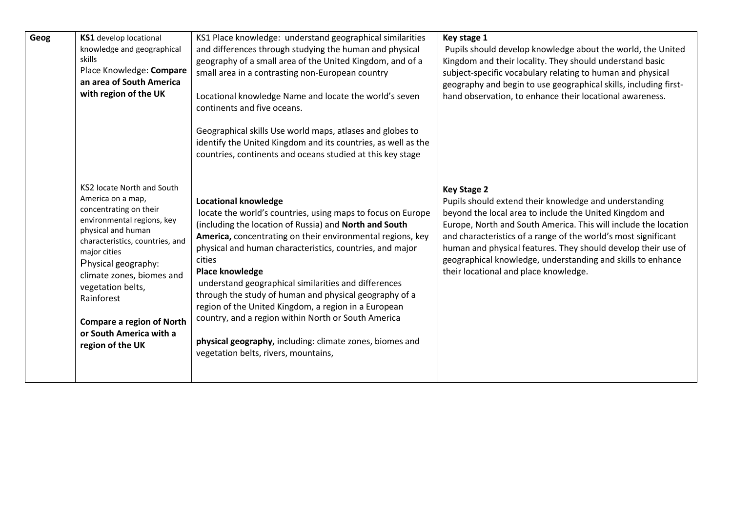| Geog | KS1 develop locational<br>knowledge and geographical<br>skills<br>Place Knowledge: Compare<br>an area of South America<br>with region of the UK                                                                                                                                                                                                            | KS1 Place knowledge: understand geographical similarities<br>and differences through studying the human and physical<br>geography of a small area of the United Kingdom, and of a<br>small area in a contrasting non-European country<br>Locational knowledge Name and locate the world's seven<br>continents and five oceans.<br>Geographical skills Use world maps, atlases and globes to<br>identify the United Kingdom and its countries, as well as the<br>countries, continents and oceans studied at this key stage                                                                                                                                     | Key stage 1<br>Pupils should develop knowledge about the world, the United<br>Kingdom and their locality. They should understand basic<br>subject-specific vocabulary relating to human and physical<br>geography and begin to use geographical skills, including first-<br>hand observation, to enhance their locational awareness.                                                                                                                  |
|------|------------------------------------------------------------------------------------------------------------------------------------------------------------------------------------------------------------------------------------------------------------------------------------------------------------------------------------------------------------|----------------------------------------------------------------------------------------------------------------------------------------------------------------------------------------------------------------------------------------------------------------------------------------------------------------------------------------------------------------------------------------------------------------------------------------------------------------------------------------------------------------------------------------------------------------------------------------------------------------------------------------------------------------|-------------------------------------------------------------------------------------------------------------------------------------------------------------------------------------------------------------------------------------------------------------------------------------------------------------------------------------------------------------------------------------------------------------------------------------------------------|
|      | KS2 locate North and South<br>America on a map,<br>concentrating on their<br>environmental regions, key<br>physical and human<br>characteristics, countries, and<br>major cities<br>Physical geography:<br>climate zones, biomes and<br>vegetation belts,<br>Rainforest<br><b>Compare a region of North</b><br>or South America with a<br>region of the UK | <b>Locational knowledge</b><br>locate the world's countries, using maps to focus on Europe<br>(including the location of Russia) and North and South<br>America, concentrating on their environmental regions, key<br>physical and human characteristics, countries, and major<br><b>cities</b><br><b>Place knowledge</b><br>understand geographical similarities and differences<br>through the study of human and physical geography of a<br>region of the United Kingdom, a region in a European<br>country, and a region within North or South America<br>physical geography, including: climate zones, biomes and<br>vegetation belts, rivers, mountains, | <b>Key Stage 2</b><br>Pupils should extend their knowledge and understanding<br>beyond the local area to include the United Kingdom and<br>Europe, North and South America. This will include the location<br>and characteristics of a range of the world's most significant<br>human and physical features. They should develop their use of<br>geographical knowledge, understanding and skills to enhance<br>their locational and place knowledge. |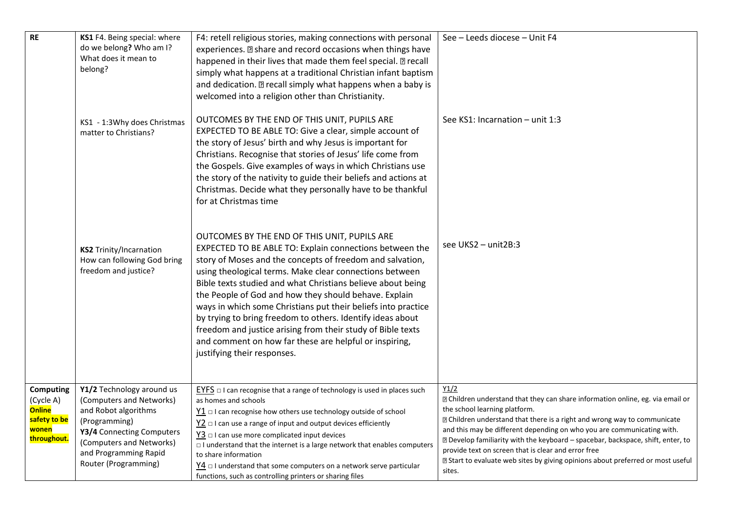| $\mathsf{RE}$                                                                   | KS1 F4. Being special: where<br>do we belong? Who am I?<br>What does it mean to<br>belong?                                                                                                               | F4: retell religious stories, making connections with personal<br>experiences. a share and record occasions when things have<br>happened in their lives that made them feel special. a recall<br>simply what happens at a traditional Christian infant baptism<br>and dedication. I recall simply what happens when a baby is<br>welcomed into a religion other than Christianity.                                                                                                                                                                                                                                                             | See - Leeds diocese - Unit F4                                                                                                                                                                                                                                                                                                                                                                                                                                                                                                    |
|---------------------------------------------------------------------------------|----------------------------------------------------------------------------------------------------------------------------------------------------------------------------------------------------------|------------------------------------------------------------------------------------------------------------------------------------------------------------------------------------------------------------------------------------------------------------------------------------------------------------------------------------------------------------------------------------------------------------------------------------------------------------------------------------------------------------------------------------------------------------------------------------------------------------------------------------------------|----------------------------------------------------------------------------------------------------------------------------------------------------------------------------------------------------------------------------------------------------------------------------------------------------------------------------------------------------------------------------------------------------------------------------------------------------------------------------------------------------------------------------------|
|                                                                                 | KS1 - 1:3Why does Christmas<br>matter to Christians?                                                                                                                                                     | OUTCOMES BY THE END OF THIS UNIT, PUPILS ARE<br>EXPECTED TO BE ABLE TO: Give a clear, simple account of<br>the story of Jesus' birth and why Jesus is important for<br>Christians. Recognise that stories of Jesus' life come from<br>the Gospels. Give examples of ways in which Christians use<br>the story of the nativity to guide their beliefs and actions at<br>Christmas. Decide what they personally have to be thankful<br>for at Christmas time                                                                                                                                                                                     | See KS1: Incarnation - unit 1:3                                                                                                                                                                                                                                                                                                                                                                                                                                                                                                  |
|                                                                                 | <b>KS2 Trinity/Incarnation</b><br>How can following God bring<br>freedom and justice?                                                                                                                    | OUTCOMES BY THE END OF THIS UNIT, PUPILS ARE<br>EXPECTED TO BE ABLE TO: Explain connections between the<br>story of Moses and the concepts of freedom and salvation,<br>using theological terms. Make clear connections between<br>Bible texts studied and what Christians believe about being<br>the People of God and how they should behave. Explain<br>ways in which some Christians put their beliefs into practice<br>by trying to bring freedom to others. Identify ideas about<br>freedom and justice arising from their study of Bible texts<br>and comment on how far these are helpful or inspiring,<br>justifying their responses. | see UKS2 - unit2B:3                                                                                                                                                                                                                                                                                                                                                                                                                                                                                                              |
| Computing<br>(Cycle A)<br><b>Online</b><br>safety to be<br>wonen<br>throughout. | Y1/2 Technology around us<br>(Computers and Networks)<br>and Robot algorithms<br>(Programming)<br>Y3/4 Connecting Computers<br>(Computers and Networks)<br>and Programming Rapid<br>Router (Programming) | $EYES \Box$ I can recognise that a range of technology is used in places such<br>as homes and schools<br>$\underline{Y1}$ $\Box$ I can recognise how others use technology outside of school<br>$Y2$ $\Box$ I can use a range of input and output devices efficiently<br>$\frac{y_3}{2}$ $\Box$ I can use more complicated input devices<br>$\Box$ I understand that the internet is a large network that enables computers<br>to share information<br>$\frac{1}{4}$ $\Box$ I understand that some computers on a network serve particular<br>functions, such as controlling printers or sharing files                                         | Y1/2<br>X Children understand that they can share information online, eg. via email or<br>the school learning platform.<br><b>sqrtm</b> Children understand that there is a right and wrong way to communicate<br>and this may be different depending on who you are communicating with.<br>sqrt2 Develop familiarity with the keyboard – spacebar, backspace, shift, enter, to<br>provide text on screen that is clear and error free<br>Xart to evaluate web sites by giving opinions about preferred or most useful<br>sites. |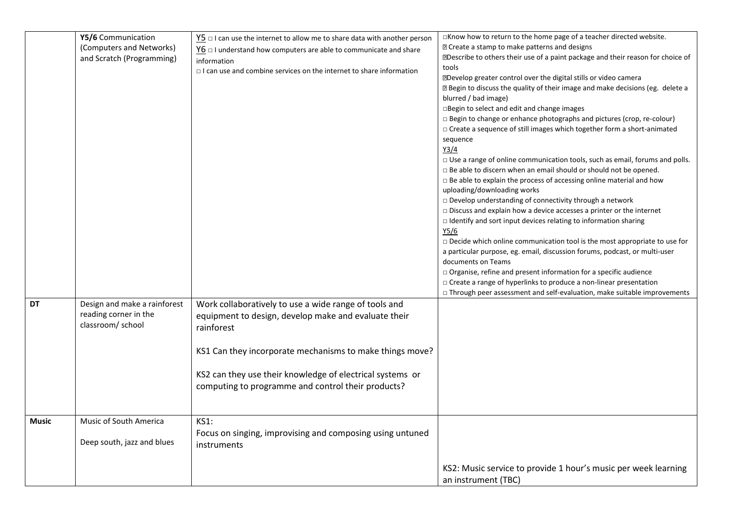|              | Y5/6 Communication<br>(Computers and Networks)<br>and Scratch (Programming) | $\underline{Y5}$ $\Box$ I can use the internet to allow me to share data with another person<br>$Y6 \square 1$ understand how computers are able to communicate and share<br>information<br>$\Box$ I can use and combine services on the internet to share information                                     | $\Box$ Know how to return to the home page of a teacher directed website.<br><b>D</b> Create a stamp to make patterns and designs<br><b>Describe to others their use of a paint package and their reason for choice of</b><br>tools<br><b>NDevelop greater control over the digital stills or video camera</b><br>X Begin to discuss the quality of their image and make decisions (eg. delete a<br>blurred / bad image)<br>□Begin to select and edit and change images<br>□ Begin to change or enhance photographs and pictures (crop, re-colour)<br>□ Create a sequence of still images which together form a short-animated<br>sequence<br>Y3/4<br>□ Use a range of online communication tools, such as email, forums and polls.<br>□ Be able to discern when an email should or should not be opened.<br>$\Box$ Be able to explain the process of accessing online material and how<br>uploading/downloading works<br>$\square$ Develop understanding of connectivity through a network<br>$\Box$ Discuss and explain how a device accesses a printer or the internet<br>I Identify and sort input devices relating to information sharing<br><u>Y5/6</u><br>$\Box$ Decide which online communication tool is the most appropriate to use for<br>a particular purpose, eg. email, discussion forums, podcast, or multi-user<br>documents on Teams<br>□ Organise, refine and present information for a specific audience<br>□ Create a range of hyperlinks to produce a non-linear presentation<br>$\Box$ Through peer assessment and self-evaluation, make suitable improvements |
|--------------|-----------------------------------------------------------------------------|------------------------------------------------------------------------------------------------------------------------------------------------------------------------------------------------------------------------------------------------------------------------------------------------------------|--------------------------------------------------------------------------------------------------------------------------------------------------------------------------------------------------------------------------------------------------------------------------------------------------------------------------------------------------------------------------------------------------------------------------------------------------------------------------------------------------------------------------------------------------------------------------------------------------------------------------------------------------------------------------------------------------------------------------------------------------------------------------------------------------------------------------------------------------------------------------------------------------------------------------------------------------------------------------------------------------------------------------------------------------------------------------------------------------------------------------------------------------------------------------------------------------------------------------------------------------------------------------------------------------------------------------------------------------------------------------------------------------------------------------------------------------------------------------------------------------------------------------------------------------------------------------------------|
| DT           | Design and make a rainforest<br>reading corner in the<br>classroom/ school  | Work collaboratively to use a wide range of tools and<br>equipment to design, develop make and evaluate their<br>rainforest<br>KS1 Can they incorporate mechanisms to make things move?<br>KS2 can they use their knowledge of electrical systems or<br>computing to programme and control their products? |                                                                                                                                                                                                                                                                                                                                                                                                                                                                                                                                                                                                                                                                                                                                                                                                                                                                                                                                                                                                                                                                                                                                                                                                                                                                                                                                                                                                                                                                                                                                                                                      |
| <b>Music</b> | Music of South America<br>Deep south, jazz and blues                        | <b>KS1:</b><br>Focus on singing, improvising and composing using untuned<br>instruments                                                                                                                                                                                                                    | KS2: Music service to provide 1 hour's music per week learning<br>an instrument (TBC)                                                                                                                                                                                                                                                                                                                                                                                                                                                                                                                                                                                                                                                                                                                                                                                                                                                                                                                                                                                                                                                                                                                                                                                                                                                                                                                                                                                                                                                                                                |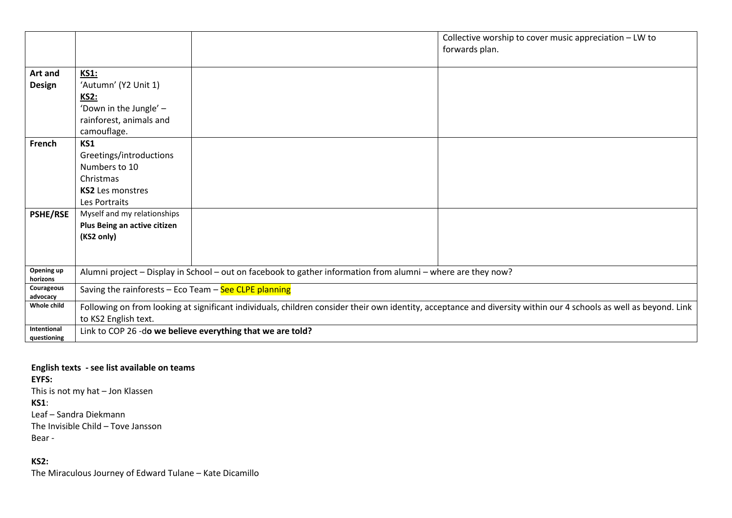|                            |                                                                                                                                                                   |                                                            | Collective worship to cover music appreciation - LW to |
|----------------------------|-------------------------------------------------------------------------------------------------------------------------------------------------------------------|------------------------------------------------------------|--------------------------------------------------------|
|                            |                                                                                                                                                                   |                                                            | forwards plan.                                         |
|                            |                                                                                                                                                                   |                                                            |                                                        |
| Art and                    | <b>KS1:</b>                                                                                                                                                       |                                                            |                                                        |
| <b>Design</b>              | 'Autumn' (Y2 Unit 1)                                                                                                                                              |                                                            |                                                        |
|                            | <b>KS2:</b>                                                                                                                                                       |                                                            |                                                        |
|                            | 'Down in the Jungle' -                                                                                                                                            |                                                            |                                                        |
|                            | rainforest, animals and                                                                                                                                           |                                                            |                                                        |
|                            | camouflage.                                                                                                                                                       |                                                            |                                                        |
| French                     | KS1                                                                                                                                                               |                                                            |                                                        |
|                            | Greetings/introductions                                                                                                                                           |                                                            |                                                        |
|                            | Numbers to 10                                                                                                                                                     |                                                            |                                                        |
|                            | Christmas                                                                                                                                                         |                                                            |                                                        |
|                            | <b>KS2</b> Les monstres                                                                                                                                           |                                                            |                                                        |
|                            | Les Portraits                                                                                                                                                     |                                                            |                                                        |
| <b>PSHE/RSE</b>            | Myself and my relationships                                                                                                                                       |                                                            |                                                        |
|                            | Plus Being an active citizen                                                                                                                                      |                                                            |                                                        |
|                            | (KS2 only)                                                                                                                                                        |                                                            |                                                        |
|                            |                                                                                                                                                                   |                                                            |                                                        |
|                            |                                                                                                                                                                   |                                                            |                                                        |
| Opening up<br>horizons     | Alumni project - Display in School - out on facebook to gather information from alumni - where are they now?                                                      |                                                            |                                                        |
| Courageous<br>advocacy     | Saving the rainforests - Eco Team - See CLPE planning                                                                                                             |                                                            |                                                        |
| Whole child                | Following on from looking at significant individuals, children consider their own identity, acceptance and diversity within our 4 schools as well as beyond. Link |                                                            |                                                        |
|                            | to KS2 English text.                                                                                                                                              |                                                            |                                                        |
| Intentional<br>questioning |                                                                                                                                                                   | Link to COP 26 -do we believe everything that we are told? |                                                        |

**English texts - see list available on teams EYFS:** This is not my hat – Jon Klassen **KS1**: Leaf – Sandra Diekmann The Invisible Child – Tove Jansson Bear -

**KS2:**

The Miraculous Journey of Edward Tulane – Kate Dicamillo